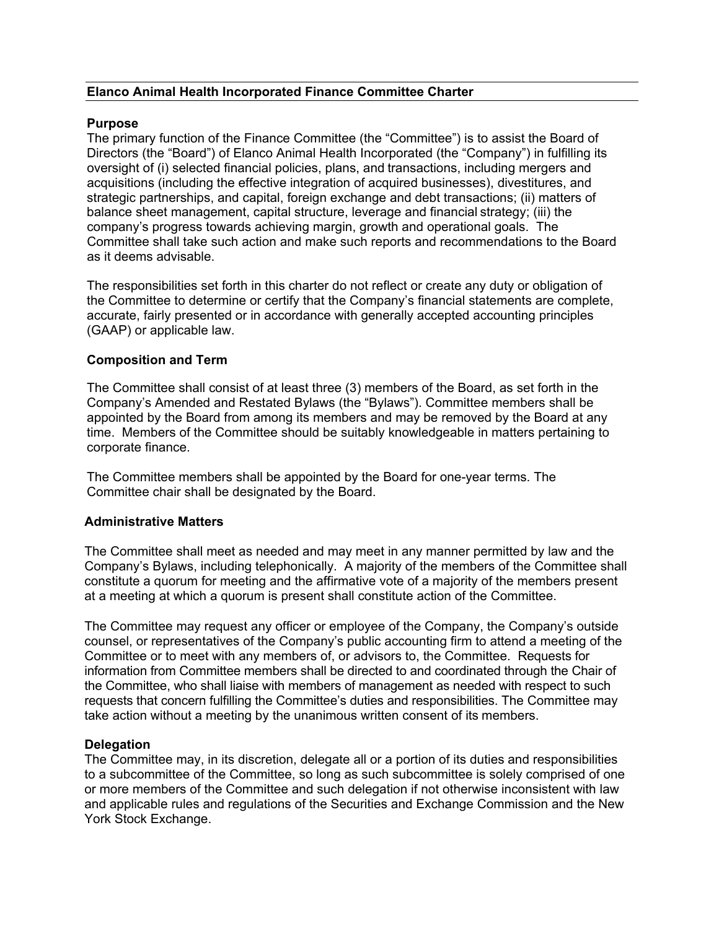## **Elanco Animal Health Incorporated Finance Committee Charter**

### **Purpose**

The primary function of the Finance Committee (the "Committee") is to assist the Board of Directors (the "Board") of Elanco Animal Health Incorporated (the "Company") in fulfilling its oversight of (i) selected financial policies, plans, and transactions, including mergers and acquisitions (including the effective integration of acquired businesses), divestitures, and strategic partnerships, and capital, foreign exchange and debt transactions; (ii) matters of balance sheet management, capital structure, leverage and financial strategy; (iii) the company's progress towards achieving margin, growth and operational goals. The Committee shall take such action and make such reports and recommendations to the Board as it deems advisable.

The responsibilities set forth in this charter do not reflect or create any duty or obligation of the Committee to determine or certify that the Company's financial statements are complete, accurate, fairly presented or in accordance with generally accepted accounting principles (GAAP) or applicable law.

### **Composition and Term**

The Committee shall consist of at least three (3) members of the Board, as set forth in the Company's Amended and Restated Bylaws (the "Bylaws"). Committee members shall be appointed by the Board from among its members and may be removed by the Board at any time. Members of the Committee should be suitably knowledgeable in matters pertaining to corporate finance.

The Committee members shall be appointed by the Board for one-year terms. The Committee chair shall be designated by the Board.

# **Administrative Matters**

The Committee shall meet as needed and may meet in any manner permitted by law and the Company's Bylaws, including telephonically. A majority of the members of the Committee shall constitute a quorum for meeting and the affirmative vote of a majority of the members present at a meeting at which a quorum is present shall constitute action of the Committee.

The Committee may request any officer or employee of the Company, the Company's outside counsel, or representatives of the Company's public accounting firm to attend a meeting of the Committee or to meet with any members of, or advisors to, the Committee. Requests for information from Committee members shall be directed to and coordinated through the Chair of the Committee, who shall liaise with members of management as needed with respect to such requests that concern fulfilling the Committee's duties and responsibilities. The Committee may take action without a meeting by the unanimous written consent of its members.

# **Delegation**

The Committee may, in its discretion, delegate all or a portion of its duties and responsibilities to a subcommittee of the Committee, so long as such subcommittee is solely comprised of one or more members of the Committee and such delegation if not otherwise inconsistent with law and applicable rules and regulations of the Securities and Exchange Commission and the New York Stock Exchange.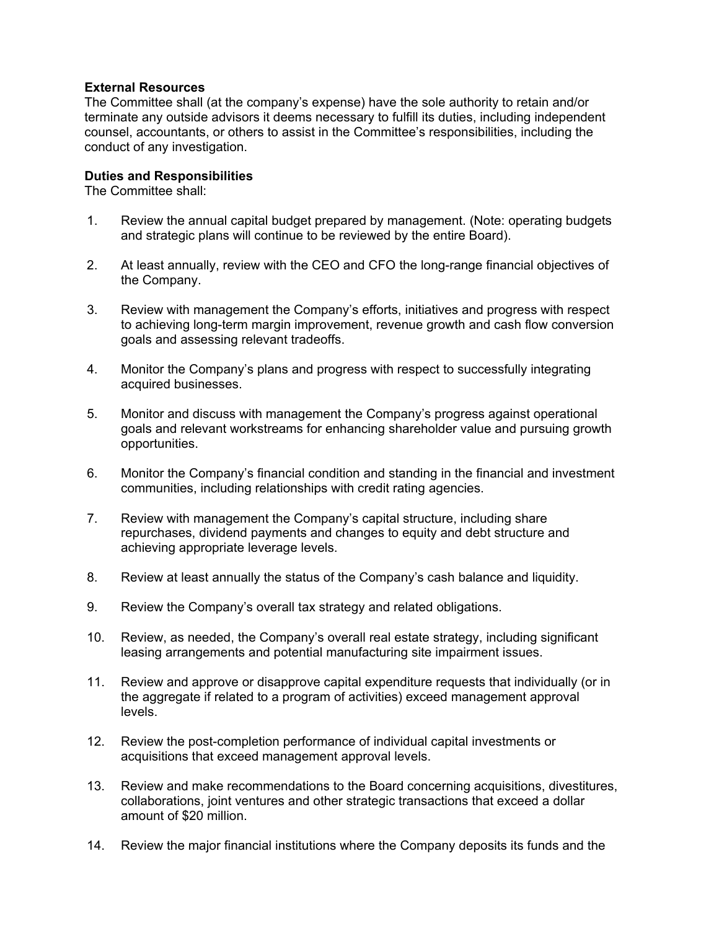# **External Resources**

The Committee shall (at the company's expense) have the sole authority to retain and/or terminate any outside advisors it deems necessary to fulfill its duties, including independent counsel, accountants, or others to assist in the Committee's responsibilities, including the conduct of any investigation.

#### **Duties and Responsibilities**

The Committee shall:

- 1. Review the annual capital budget prepared by management. (Note: operating budgets and strategic plans will continue to be reviewed by the entire Board).
- 2. At least annually, review with the CEO and CFO the long-range financial objectives of the Company.
- 3. Review with management the Company's efforts, initiatives and progress with respect to achieving long-term margin improvement, revenue growth and cash flow conversion goals and assessing relevant tradeoffs.
- 4. Monitor the Company's plans and progress with respect to successfully integrating acquired businesses.
- 5. Monitor and discuss with management the Company's progress against operational goals and relevant workstreams for enhancing shareholder value and pursuing growth opportunities.
- 6. Monitor the Company's financial condition and standing in the financial and investment communities, including relationships with credit rating agencies.
- 7. Review with management the Company's capital structure, including share repurchases, dividend payments and changes to equity and debt structure and achieving appropriate leverage levels.
- 8. Review at least annually the status of the Company's cash balance and liquidity.
- 9. Review the Company's overall tax strategy and related obligations.
- 10. Review, as needed, the Company's overall real estate strategy, including significant leasing arrangements and potential manufacturing site impairment issues.
- 11. Review and approve or disapprove capital expenditure requests that individually (or in the aggregate if related to a program of activities) exceed management approval levels.
- 12. Review the post-completion performance of individual capital investments or acquisitions that exceed management approval levels.
- 13. Review and make recommendations to the Board concerning acquisitions, divestitures, collaborations, joint ventures and other strategic transactions that exceed a dollar amount of \$20 million.
- 14. Review the major financial institutions where the Company deposits its funds and the